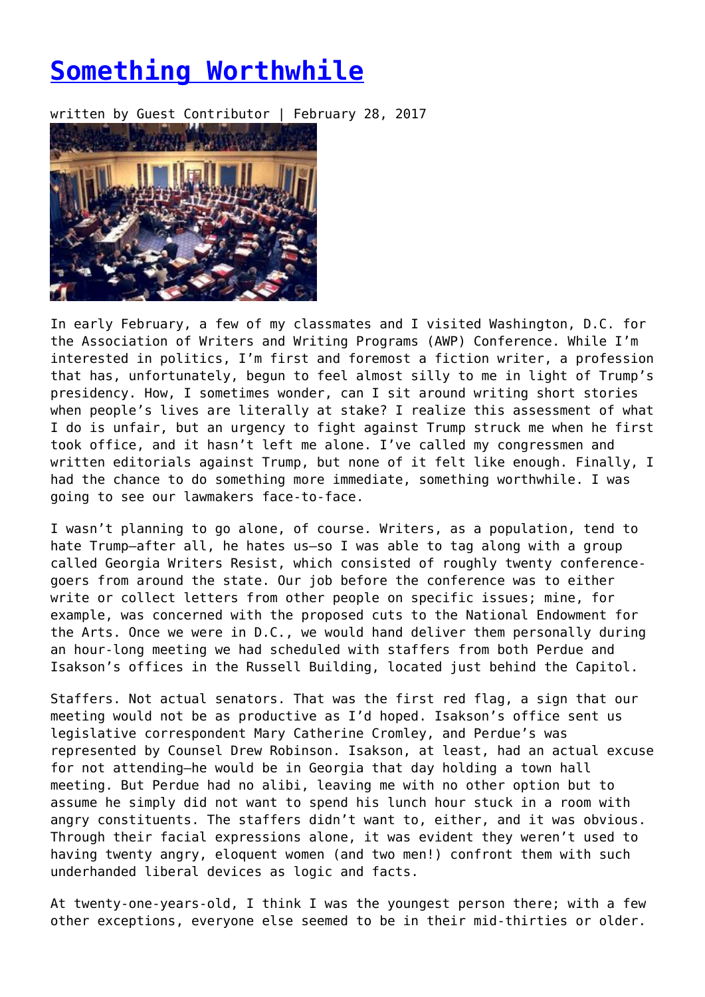## **[Something Worthwhile](https://entropymag.org/something-worthwhile/)**

written by Guest Contributor | February 28, 2017



In early February, a few of my classmates and I visited Washington, D.C. for the Association of Writers and Writing Programs (AWP) Conference. While I'm interested in politics, I'm first and foremost a fiction writer, a profession that has, unfortunately, begun to feel almost silly to me in light of Trump's presidency. How, I sometimes wonder, can I sit around writing short stories when people's lives are literally at stake? I realize this assessment of what I do is unfair, but an urgency to fight against Trump struck me when he first took office, and it hasn't left me alone. I've called my congressmen and written editorials against Trump, but none of it felt like enough. Finally, I had the chance to do something more immediate, something worthwhile. I was going to see our lawmakers face-to-face.

I wasn't planning to go alone, of course. Writers, as a population, tend to hate Trump—after all, he hates us—so I was able to tag along with a group called Georgia Writers Resist, which consisted of roughly twenty conferencegoers from around the state. Our job before the conference was to either write or collect letters from other people on specific issues; mine, for example, was concerned with the proposed cuts to the National Endowment for the Arts. Once we were in D.C., we would hand deliver them personally during an hour-long meeting we had scheduled with staffers from both Perdue and Isakson's offices in the Russell Building, located just behind the Capitol.

Staffers. Not actual senators. That was the first red flag, a sign that our meeting would not be as productive as I'd hoped. Isakson's office sent us legislative correspondent Mary Catherine Cromley, and Perdue's was represented by Counsel Drew Robinson. Isakson, at least, had an actual excuse for not attending—he would be in Georgia that day holding a town hall meeting. But Perdue had no alibi, leaving me with no other option but to assume he simply did not want to spend his lunch hour stuck in a room with angry constituents. The staffers didn't want to, either, and it was obvious. Through their facial expressions alone, it was evident they weren't used to having twenty angry, eloquent women (and two men!) confront them with such underhanded liberal devices as logic and facts.

At twenty-one-years-old, I think I was the youngest person there; with a few other exceptions, everyone else seemed to be in their mid-thirties or older.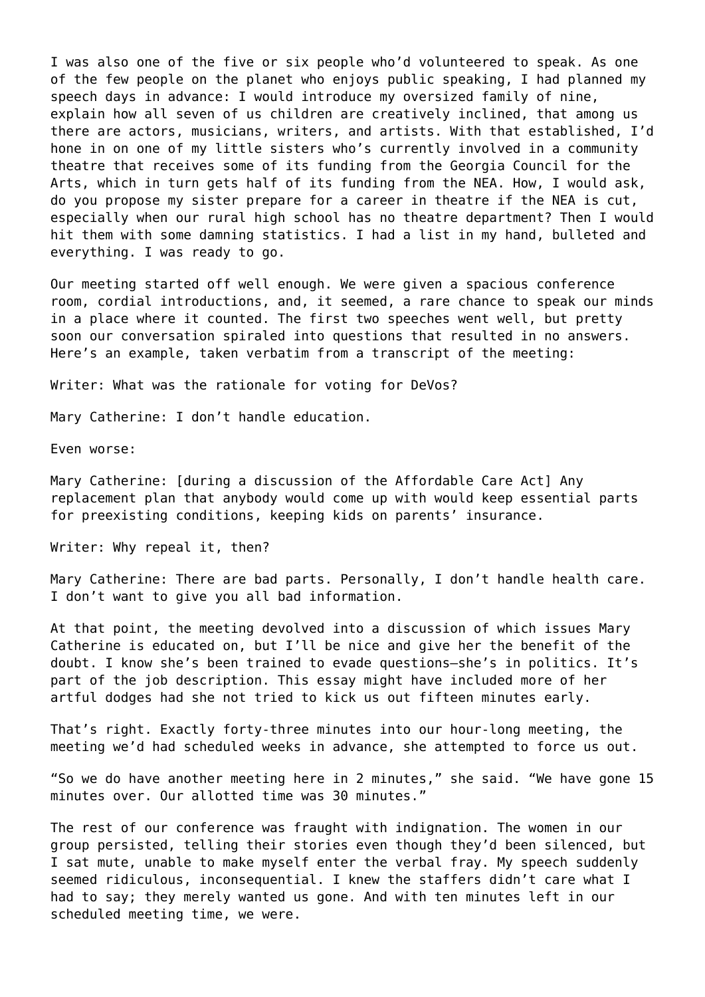I was also one of the five or six people who'd volunteered to speak. As one of the few people on the planet who enjoys public speaking, I had planned my speech days in advance: I would introduce my oversized family of nine, explain how all seven of us children are creatively inclined, that among us there are actors, musicians, writers, and artists. With that established, I'd hone in on one of my little sisters who's currently involved in a community theatre that receives some of its funding from the Georgia Council for the Arts, which in turn gets half of its funding from the NEA. How, I would ask, do you propose my sister prepare for a career in theatre if the NEA is cut, especially when our rural high school has no theatre department? Then I would hit them with some damning statistics. I had a list in my hand, bulleted and everything. I was ready to go.

Our meeting started off well enough. We were given a spacious conference room, cordial introductions, and, it seemed, a rare chance to speak our minds in a place where it counted. The first two speeches went well, but pretty soon our conversation spiraled into questions that resulted in no answers. Here's an example, taken verbatim from a transcript of the meeting:

Writer: What was the rationale for voting for DeVos?

Mary Catherine: I don't handle education.

Even worse:

Mary Catherine: [during a discussion of the Affordable Care Act] Any replacement plan that anybody would come up with would keep essential parts for preexisting conditions, keeping kids on parents' insurance.

Writer: Why repeal it, then?

Mary Catherine: There are bad parts. Personally, I don't handle health care. I don't want to give you all bad information.

At that point, the meeting devolved into a discussion of which issues Mary Catherine is educated on, but I'll be nice and give her the benefit of the doubt. I know she's been trained to evade questions—she's in politics. It's part of the job description. This essay might have included more of her artful dodges had she not tried to kick us out fifteen minutes early.

That's right. Exactly forty-three minutes into our hour-long meeting, the meeting we'd had scheduled weeks in advance, she attempted to force us out.

"So we do have another meeting here in 2 minutes," she said. "We have gone 15 minutes over. Our allotted time was 30 minutes."

The rest of our conference was fraught with indignation. The women in our group persisted, telling their stories even though they'd been silenced, but I sat mute, unable to make myself enter the verbal fray. My speech suddenly seemed ridiculous, inconsequential. I knew the staffers didn't care what I had to say; they merely wanted us gone. And with ten minutes left in our scheduled meeting time, we were.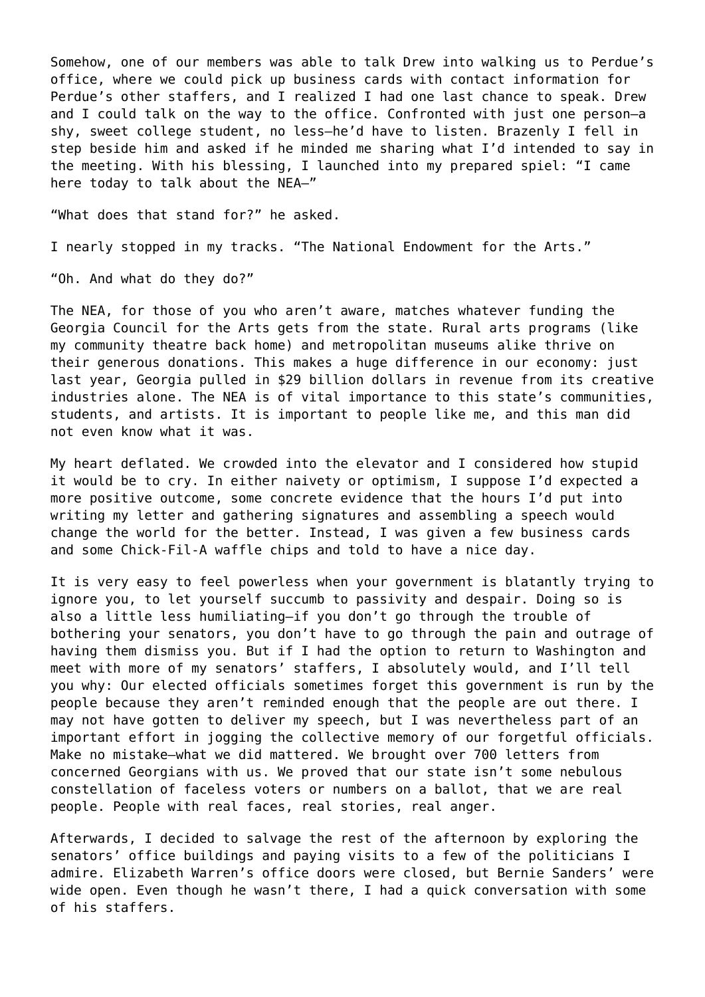Somehow, one of our members was able to talk Drew into walking us to Perdue's office, where we could pick up business cards with contact information for Perdue's other staffers, and I realized I had one last chance to speak. Drew and I could talk on the way to the office. Confronted with just one person—a shy, sweet college student, no less—he'd have to listen. Brazenly I fell in step beside him and asked if he minded me sharing what I'd intended to say in the meeting. With his blessing, I launched into my prepared spiel: "I came here today to talk about the NEA—"

"What does that stand for?" he asked.

I nearly stopped in my tracks. "The National Endowment for the Arts."

"Oh. And what do they do?"

The NEA, for those of you who aren't aware, matches whatever funding the Georgia Council for the Arts gets from the state. Rural arts programs (like my community theatre back home) and metropolitan museums alike thrive on their generous donations. This makes a huge difference in our economy: just last year, Georgia pulled in \$29 billion dollars in revenue from its creative industries alone. The NEA is of vital importance to this state's communities, students, and artists. It is important to people like me, and this man did not even know what it was.

My heart deflated. We crowded into the elevator and I considered how stupid it would be to cry. In either naivety or optimism, I suppose I'd expected a more positive outcome, some concrete evidence that the hours I'd put into writing my letter and gathering signatures and assembling a speech would change the world for the better. Instead, I was given a few business cards and some Chick-Fil-A waffle chips and told to have a nice day.

It is very easy to feel powerless when your government is blatantly trying to ignore you, to let yourself succumb to passivity and despair. Doing so is also a little less humiliating—if you don't go through the trouble of bothering your senators, you don't have to go through the pain and outrage of having them dismiss you. But if I had the option to return to Washington and meet with more of my senators' staffers, I absolutely would, and I'll tell you why: Our elected officials sometimes forget this government is run by the people because they aren't reminded enough that the people are out there. I may not have gotten to deliver my speech, but I was nevertheless part of an important effort in jogging the collective memory of our forgetful officials. Make no mistake—what we did mattered. We brought over 700 letters from concerned Georgians with us. We proved that our state isn't some nebulous constellation of faceless voters or numbers on a ballot, that we are real people. People with real faces, real stories, real anger.

Afterwards, I decided to salvage the rest of the afternoon by exploring the senators' office buildings and paying visits to a few of the politicians I admire. Elizabeth Warren's office doors were closed, but Bernie Sanders' were wide open. Even though he wasn't there, I had a quick conversation with some of his staffers.